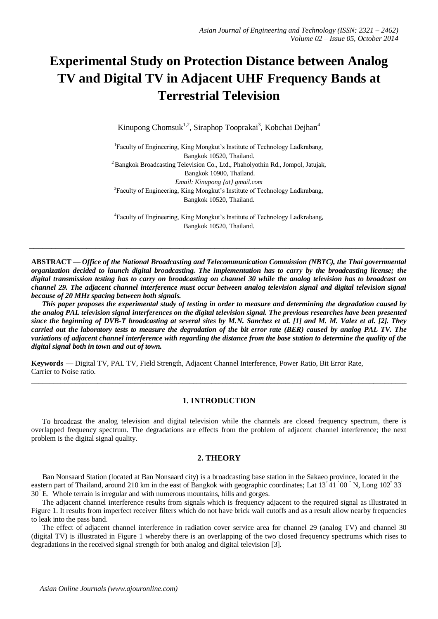# **Experimental Study on Protection Distance between Analog TV and Digital TV in Adjacent UHF Frequency Bands at Terrestrial Television**

Kinupong Chomsuk<sup>1,2</sup>, Siraphop Tooprakai<sup>3</sup>, Kobchai Dejhan<sup>4</sup>

<sup>1</sup>Faculty of Engineering, King Mongkut's Institute of Technology Ladkrabang, Bangkok 10520, Thailand.  $2$ Bangkok Broadcasting Television Co., Ltd., Phaholyothin Rd., Jompol, Jatujak, Bangkok 10900, Thailand. *Email: Kinupong {at} gmail.com* <sup>3</sup>Faculty of Engineering, King Mongkut's Institute of Technology Ladkrabang, Bangkok 10520, Thailand.

4 Faculty of Engineering, King Mongkut's Institute of Technology Ladkrabang, Bangkok 10520, Thailand.

\_\_\_\_\_\_\_\_\_\_\_\_\_\_\_\_\_\_\_\_\_\_\_\_\_\_\_\_\_\_\_\_\_\_\_\_\_\_\_\_\_\_\_\_\_\_\_\_\_\_\_\_\_\_\_\_\_\_\_\_\_\_\_\_\_\_\_\_\_\_\_\_\_\_\_\_\_\_\_\_\_\_\_\_\_

**ABSTRACT —** *Office of the National Broadcasting and Telecommunication Commission (NBTC), the Thai governmental organization decided to launch digital broadcasting. The implementation has to carry by the broadcasting license; the digital transmission testing has to carry on broadcasting on channel 30 while the analog television has to broadcast on channel 29. The adjacent channel interference must occur between analog television signal and digital television signal because of 20 MHz spacing between both signals.*

 *This paper proposes the experimental study of testing in order to measure and determining the degradation caused by the analog PAL television signal interferences on the digital television signal. The previous researches have been presented since the beginning of DVB-T broadcasting at several sites by M.N. Sanchez et al. [1] and M. M. Valez et al. [2]. They carried out the laboratory tests to measure the degradation of the bit error rate (BER) caused by analog PAL TV. The variations of adjacent channel interference with regarding the distance from the base station to determine the quality of the digital signal both in town and out of town.*

**Keywords** — Digital TV, PAL TV, Field Strength, Adjacent Channel Interference, Power Ratio, Bit Error Rate, Carrier to Noise ratio.

# **1. INTRODUCTION**

 $\_$  , and the set of the set of the set of the set of the set of the set of the set of the set of the set of the set of the set of the set of the set of the set of the set of the set of the set of the set of the set of th

 To broadcast the analog television and digital television while the channels are closed frequency spectrum, there is overlapped frequency spectrum. The degradations are effects from the problem of adjacent channel interference; the next problem is the digital signal quality.

#### **2. THEORY**

 Ban Nonsaard Station (located at Ban Nonsaard city) is a broadcasting base station in the Sakaeo province, located in the eastern part of Thailand, around 210 km in the east of Bangkok with geographic coordinates; Lat  $13\degree41\degree00\degree$  N, Long  $102\degree33\degree$ 30" E. Whole terrain is irregular and with numerous mountains, hills and gorges.

 The adjacent channel interference results from signals which is frequency adjacent to the required signal as illustrated in Figure 1. It results from imperfect receiver filters which do not have brick wall cutoffs and as a result allow nearby frequencies to leak into the pass band.

 The effect of adjacent channel interference in radiation cover service area for channel 29 (analog TV) and channel 30 (digital TV) is illustrated in Figure 1 whereby there is an overlapping of the two closed frequency spectrums which rises to degradations in the received signal strength for both analog and digital television [3].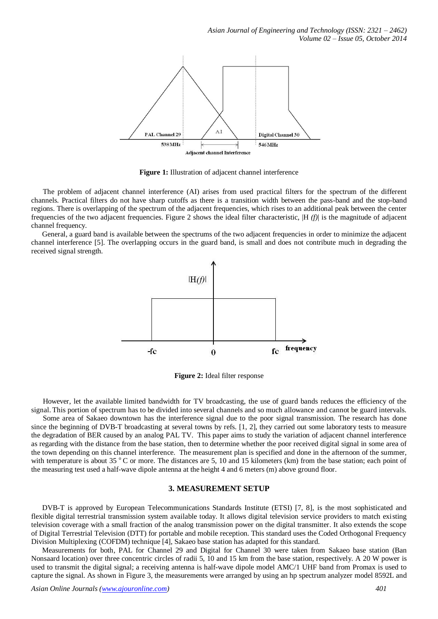

**Figure 1:** Illustration of adjacent channel interference

 The problem of adjacent channel interference (AI) arises from used practical filters for the spectrum of the different channels. Practical filters do not have sharp cutoffs as there is a transition width between the pass-band and the stop-band regions. There is overlapping of the spectrum of the adjacent frequencies, which rises to an additional peak between the center frequencies of the two adjacent frequencies. Figure 2 shows the ideal filter characteristic, |H *(f)*| is the magnitude of adjacent channel frequency.

 General, a guard band is available between the spectrums of the two adjacent frequencies in order to minimize the adjacent channel interference [5]. The overlapping occurs in the guard band, is small and does not contribute much in degrading the received signal strength.



**Figure 2:** Ideal filter response

 However, let the available limited bandwidth for TV broadcasting, the use of guard bands reduces the efficiency of the signal. This portion of spectrum has to be divided into several channels and so much allowance and cannot be guard intervals.

 Some area of Sakaeo downtown has the interference signal due to the poor signal transmission. The research has done since the beginning of DVB-T broadcasting at several towns by refs. [1, 2], they carried out some laboratory tests to measure the degradation of BER caused by an analog PAL TV. This paper aims to study the variation of adjacent channel interference as regarding with the distance from the base station, then to determine whether the poor received digital signal in some area of the town depending on this channel interference. The measurement plan is specified and done in the afternoon of the summer, with temperature is about 35  $\degree$ C or more. The distances are 5, 10 and 15 kilometers (km) from the base station; each point of the measuring test used a half-wave dipole antenna at the height 4 and 6 meters (m) above ground floor.

#### **3. MEASUREMENT SETUP**

DVB-T is approved by European Telecommunications Standards Institute (ETSI) [7, 8], is the most sophisticated and flexible digital terrestrial transmission system available today. It allows digital television service providers to match existing television coverage with a small fraction of the analog transmission power on the digital transmitter. It also extends the scope of Digital Terrestrial Television (DTT) for portable and mobile reception. This standard uses the Coded Orthogonal Frequency Division Multiplexing (COFDM) technique [4], Sakaeo base station has adapted for this standard.

 Measurements for both, PAL for Channel 29 and Digital for Channel 30 were taken from Sakaeo base station (Ban Nonsaard location) over three concentric circles of radii 5, 10 and 15 km from the base station, respectively. A 20 W power is used to transmit the digital signal; a receiving antenna is half-wave dipole model AMC/1 UHF band from Promax is used to capture the signal. As shown in Figure 3, the measurements were arranged by using an hp spectrum analyzer model 8592L and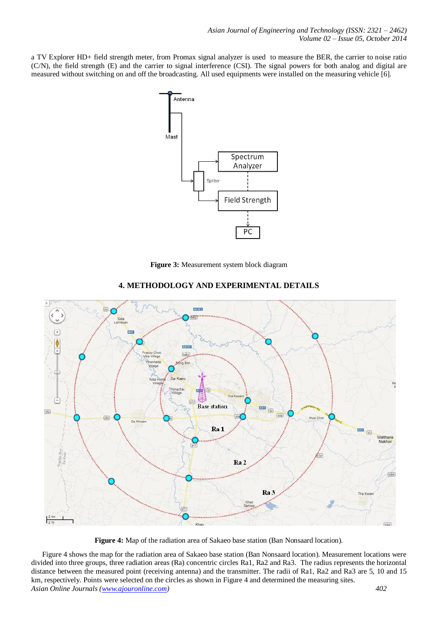a TV Explorer HD+ field strength meter, from Promax signal analyzer is used to measure the BER, the carrier to noise ratio (C/N), the field strength (E) and the carrier to signal interference (CSI). The signal powers for both analog and digital are measured without switching on and off the broadcasting. All used equipments were installed on the measuring vehicle [6].



**Figure 3:** Measurement system block diagram



# **4. METHODOLOGY AND EXPERIMENTAL DETAILS**

**Figure 4:** Map of the radiation area of Sakaeo base station (Ban Nonsaard location).

*Asian Online Journals (www.ajouronline.com) 402* Figure 4 shows the map for the radiation area of Sakaeo base station (Ban Nonsaard location). Measurement locations were divided into three groups, three radiation areas (Ra) concentric circles Ra1, Ra2 and Ra3. The radius represents the horizontal distance between the measured point (receiving antenna) and the transmitter. The radii of Ra1, Ra2 and Ra3 are 5, 10 and 15 km, respectively. Points were selected on the circles as shown in Figure 4 and determined the measuring sites.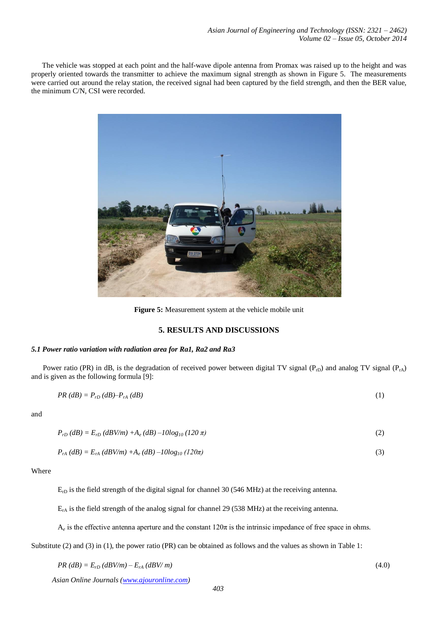The vehicle was stopped at each point and the half-wave dipole antenna from Promax was raised up to the height and was properly oriented towards the transmitter to achieve the maximum signal strength as shown in Figure 5. The measurements were carried out around the relay station, the received signal had been captured by the field strength, and then the BER value, the minimum C/N, CSI were recorded.



**Figure 5:** Measurement system at the vehicle mobile unit

## **5. RESULTS AND DISCUSSIONS**

## *5.1 Power ratio variation with radiation area for Ra1, Ra2 and Ra3*

Power ratio (PR) in dB, is the degradation of received power between digital TV signal ( $P_{rD}$ ) and analog TV signal ( $P_{rA}$ ) and is given as the following formula [9]:

$$
PR(dB) = P_{rD}(dB) - P_{rA}(dB)
$$
\n<sup>(1)</sup>

and

$$
P_{rD} (dB) = E_{rD} (dBV/m) + A_e (dB) - 10log_{10} (120 \pi)
$$
\n(2)

$$
P_{rA} (dB) = E_{rA} (dBV/m) + A_e (dB) - 10log_{10} (120\pi)
$$
\n(3)

Where

 $E<sub>rD</sub>$  is the field strength of the digital signal for channel 30 (546 MHz) at the receiving antenna.

 $E<sub>rA</sub>$  is the field strength of the analog signal for channel 29 (538 MHz) at the receiving antenna.

 $A_e$  is the effective antenna aperture and the constant  $120\pi$  is the intrinsic impedance of free space in ohms.

Substitute (2) and (3) in (1), the power ratio (PR) can be obtained as follows and the values as shown in Table 1:

$$
PR(dB) = E_{rD}(dBV/m) - E_{rA}(dBV/m) \tag{4.0}
$$

*Asian Online Journals (www.ajouronline.com)*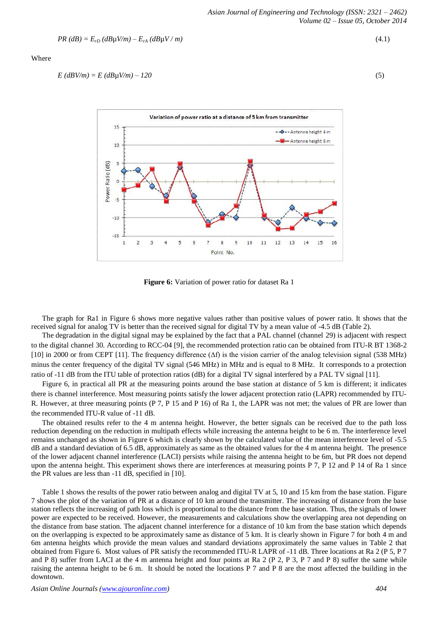$$
PR(dB) = E_{rD}(dB\mu V/m) - E_{rA}(dB\mu V/m) \tag{4.1}
$$

#### Where

$$
E(dBV/m) = E(dB\mu V/m) - 120\tag{5}
$$



**Figure 6:** Variation of power ratio for dataset Ra 1

 The graph for Ra1 in Figure 6 shows more negative values rather than positive values of power ratio. It shows that the received signal for analog TV is better than the received signal for digital TV by a mean value of -4.5 dB (Table 2).

 The degradation in the digital signal may be explained by the fact that a PAL channel (channel 29) is adjacent with respect to the digital channel 30. According to RCC-04 [9], the recommended protection ratio can be obtained from ITU-R BT 1368-2 [10] in 2000 or from CEPT [11]. The frequency difference (∆f) is the vision carrier of the analog television signal (538 MHz) minus the center frequency of the digital TV signal (546 MHz) in MHz and is equal to 8 MHz. It corresponds to a protection ratio of -11 dB from the ITU table of protection ratios (dB) for a digital TV signal interfered by a PAL TV signal [11].

 Figure 6, in practical all PR at the measuring points around the base station at distance of 5 km is different; it indicates there is channel interference. Most measuring points satisfy the lower adjacent protection ratio (LAPR) recommended by ITU-R. However, at three measuring points (P 7, P 15 and P 16) of Ra 1, the LAPR was not met; the values of PR are lower than the recommended ITU-R value of -11 dB.

 The obtained results refer to the 4 m antenna height. However, the better signals can be received due to the path loss reduction depending on the reduction in multipath effects while increasing the antenna height to be 6 m. The interference level remains unchanged as shown in Figure 6 which is clearly shown by the calculated value of the mean interference level of -5.5 dB and a standard deviation of 6.5 dB, approximately as same as the obtained values for the 4 m antenna height. The presence of the lower adjacent channel interference (LACI) persists while raising the antenna height to be 6m, but PR does not depend upon the antenna height. This experiment shows there are interferences at measuring points P 7, P 12 and P 14 of Ra 1 since the PR values are less than -11 dB, specified in [10].

 Table 1 shows the results of the power ratio between analog and digital TV at 5, 10 and 15 km from the base station. Figure 7 shows the plot of the variation of PR at a distance of 10 km around the transmitter. The increasing of distance from the base station reflects the increasing of path loss which is proportional to the distance from the base station. Thus, the signals of lower power are expected to be received. However, the measurements and calculations show the overlapping area not depending on the distance from base station. The adjacent channel interference for a distance of 10 km from the base station which depends on the overlapping is expected to be approximately same as distance of 5 km. It is clearly shown in Figure 7 for both 4 m and 6m antenna heights which provide the mean values and standard deviations approximately the same values in Table 2 that obtained from Figure 6. Most values of PR satisfy the recommended ITU-R LAPR of -11 dB. Three locations at Ra 2 (P 5, P 7 and P 8) suffer from LACI at the 4 m antenna height and four points at Ra 2 (P 2, P 3, P 7 and P 8) suffer the same while raising the antenna height to be 6 m. It should be noted the locations P 7 and P 8 are the most affected the building in the downtown.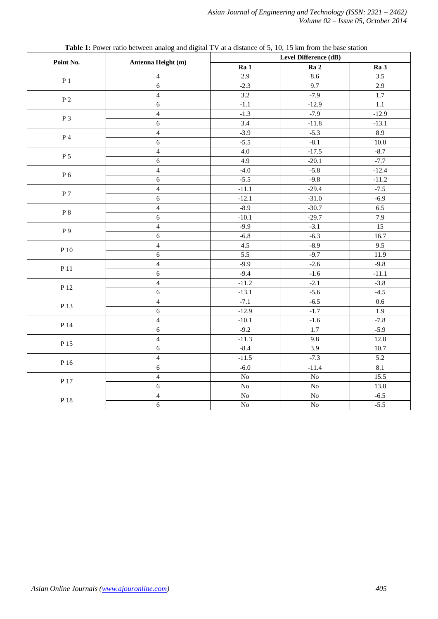|                    | Antenna Height (m)      | Level Difference (dB) |                                                                                                                                         |                  |  |
|--------------------|-------------------------|-----------------------|-----------------------------------------------------------------------------------------------------------------------------------------|------------------|--|
| Point No.          |                         | Ra 1                  | Ra <sub>2</sub>                                                                                                                         | Ra 3             |  |
| $\mathbf{P}$ 1     | $\overline{\mathbf{4}}$ | 2.9                   | 8.6                                                                                                                                     | 3.5              |  |
|                    | $\overline{6}$          | $-2.3$                | 9.7                                                                                                                                     | 2.9              |  |
|                    | $\overline{\mathbf{4}}$ | 3.2                   | $-7.9$                                                                                                                                  | 1.7              |  |
| $\mathbf{P}\,2$    | 6                       | $-1.1$                | $-12.9$                                                                                                                                 | $1.1\,$          |  |
|                    | $\overline{\mathbf{4}}$ | $-1.3$                | $-7.9$                                                                                                                                  | $-12.9$          |  |
| $P_3$              | $\epsilon$              | 3.4                   | $-11.8$                                                                                                                                 | $-13.1$          |  |
|                    | $\overline{4}$          | $-3.9$                | $-5.3$                                                                                                                                  | 8.9              |  |
| $\mathbf{P}\,4$    | $\sqrt{6}$              | $-5.5$                | $-8.1$                                                                                                                                  | $10.0\,$         |  |
|                    | $\overline{4}$          | 4.0                   | $-17.5$                                                                                                                                 | $-8.7$           |  |
| P <sub>5</sub>     | $\sqrt{6}$              | 4.9                   | $-20.1$                                                                                                                                 | $-7.7$           |  |
|                    | $\overline{4}$          | $-4.0$                | $-5.8$                                                                                                                                  | $-12.4$          |  |
| ${\bf P}$ 6        | $\sqrt{6}$              | $-5.5$                | $-9.8$                                                                                                                                  | $-11.2$          |  |
|                    | $\overline{4}$          | $-11.1$               | $-29.4$                                                                                                                                 | $-7.5$           |  |
| $\, {\bf P}$ 7     | $\sqrt{6}$              | $-12.1$               | $-31.0$                                                                                                                                 | $-6.9$           |  |
|                    | $\overline{4}$          | $-8.9$                | $-30.7$                                                                                                                                 | 6.5              |  |
| $\,$ P $\,$ 8 $\,$ | $\sqrt{6}$              | $-10.1$               | $-29.7$                                                                                                                                 | 7.9              |  |
|                    | $\overline{4}$          | $-9.9$                |                                                                                                                                         | 15               |  |
| P 9                | $\sqrt{6}$              | $-6.8$                | $-6.3$                                                                                                                                  | 16.7             |  |
|                    | $\overline{\mathbf{4}}$ | $4.5\,$               | $-8.9$                                                                                                                                  | 9.5              |  |
| $\mathbf{P}$ 10    | 6                       | $\overline{5.5}$      | $-9.7$                                                                                                                                  | 11.9             |  |
|                    | $\overline{4}$          | $-9.9$                | $-2.6$                                                                                                                                  | $-9.8$           |  |
| P 11               | $\sqrt{6}$              | $-9.4$                | $-1.6$                                                                                                                                  | $-11.1$          |  |
|                    | $\overline{4}$          | $-11.2$               |                                                                                                                                         | $-3.8$           |  |
| P 12               | $\epsilon$              | $-13.1$               | $-5.6$                                                                                                                                  | $-4.5$           |  |
|                    | $\overline{4}$          | $-7.1$                | $-3.1$<br>$-2.1$<br>$-6.5$<br>$-1.7$<br>$-1.6$<br>1.7<br>9.8<br>3.9<br>$-7.3$<br>$-11.4$<br>${\rm No}$<br>${\bf No}$<br>$\overline{No}$ | $0.6\,$          |  |
| P 13               | $\epsilon$              | $-12.9$               |                                                                                                                                         | 1.9              |  |
|                    | $\overline{4}$          | $-10.1$               |                                                                                                                                         | $-7.8$           |  |
| $\mathbf{P}$ 14    | 6                       | $-9.2$                |                                                                                                                                         | $-5.9$           |  |
|                    | $\overline{4}$          | $-11.3$               |                                                                                                                                         | 12.8             |  |
| P 15               | $\overline{6}$          | $-8.4$                |                                                                                                                                         | 10.7             |  |
|                    | $\overline{4}$          | $-11.5$               |                                                                                                                                         | 5.2              |  |
| P 16               | $\sqrt{6}$              | $-6.0$                |                                                                                                                                         | $\overline{8.1}$ |  |
|                    | $\overline{4}$          | $\rm No$              |                                                                                                                                         | 15.5             |  |
| P 17               | $\sqrt{6}$              | ${\rm No}$            |                                                                                                                                         | 13.8             |  |
|                    | $\overline{\mathbf{4}}$ | $\overline{No}$       |                                                                                                                                         | $-6.5$           |  |
| P 18               | $\sqrt{6}$              | ${\rm No}$            | ${\rm No}$                                                                                                                              | $-5.5$           |  |
|                    |                         |                       |                                                                                                                                         |                  |  |

**Table 1:** Power ratio between analog and digital TV at a distance of 5, 10, 15 km from the base station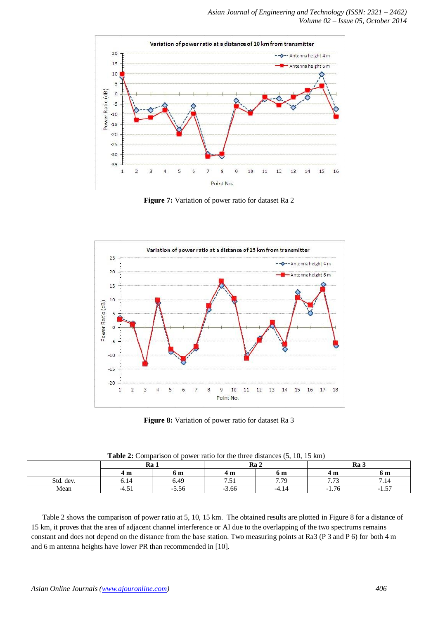

**Figure 7:** Variation of power ratio for dataset Ra 2



**Figure 8:** Variation of power ratio for dataset Ra 3

| <b>Table 2.</b> Comparison of power ratio for the three distances $\varphi$ , To, To Kin |         |         |                 |       |                           |                           |  |  |
|------------------------------------------------------------------------------------------|---------|---------|-----------------|-------|---------------------------|---------------------------|--|--|
|                                                                                          | Ra 1    |         | Ra <sub>2</sub> |       | Ra 3                      |                           |  |  |
|                                                                                          | 4 m     | 6 m     | 4 m             | 6 m   | 4 m                       | 6 m                       |  |  |
| Std. dev.                                                                                | 6.14    | 6.49    | . د ،           | 7.70  | $\overline{H}$<br>ن ، ، ، | '.14                      |  |  |
| Mean                                                                                     | $-4.51$ | $-5.56$ | $-3.66$         | -4.14 | $-1.76$                   | $\overline{a}$<br>$-1.5.$ |  |  |

| <b>Table 2:</b> Comparison of power ratio for the three distances (5, 10, 15 km) |  |  |  |
|----------------------------------------------------------------------------------|--|--|--|
|----------------------------------------------------------------------------------|--|--|--|

 Table 2 shows the comparison of power ratio at 5, 10, 15 km. The obtained results are plotted in Figure 8 for a distance of 15 km, it proves that the area of adjacent channel interference or AI due to the overlapping of the two spectrums remains constant and does not depend on the distance from the base station. Two measuring points at Ra3 (P 3 and P 6) for both 4 m and 6 m antenna heights have lower PR than recommended in [10].